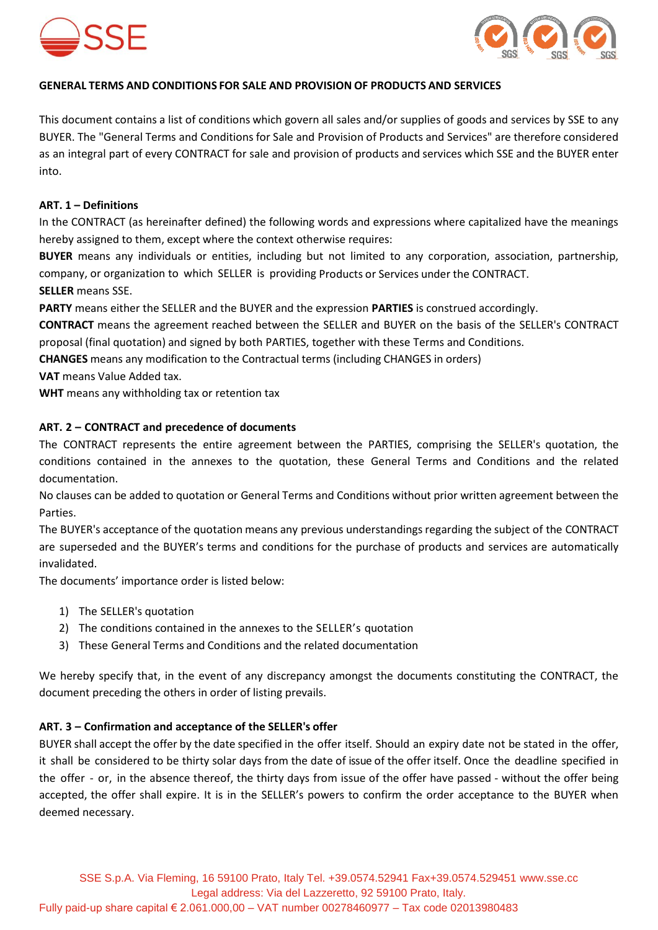



# **GENERAL TERMS AND CONDITIONS FOR SALE AND PROVISION OF PRODUCTS AND SERVICES**

This document contains a list of conditions which govern all sales and/or supplies of goods and services by SSE to any BUYER. The "General Terms and Conditions for Sale and Provision of Products and Services" are therefore considered as an integral part of every CONTRACT for sale and provision of products and services which SSE and the BUYER enter into.

### **ART. 1 – Definitions**

In the CONTRACT (as hereinafter defined) the following words and expressions where capitalized have the meanings hereby assigned to them, except where the context otherwise requires:

**BUYER** means any individuals or entities, including but not limited to any corporation, association, partnership, company, or organization to which SELLER is providing Products or Services under the CONTRACT. **SELLER** means SSE.

**PARTY** means either the SELLER and the BUYER and the expression **PARTIES** is construed accordingly.

**CONTRACT** means the agreement reached between the SELLER and BUYER on the basis of the SELLER's CONTRACT proposal (final quotation) and signed by both PARTIES, together with these Terms and Conditions.

**CHANGES** means any modification to the Contractual terms (including CHANGES in orders)

**VAT** means Value Added tax.

**WHT** means any withholding tax or retention tax

## **ART. 2 – CONTRACT and precedence of documents**

The CONTRACT represents the entire agreement between the PARTIES, comprising the SELLER's quotation, the conditions contained in the annexes to the quotation, these General Terms and Conditions and the related documentation.

No clauses can be added to quotation or General Terms and Conditions without prior written agreement between the Parties.

The BUYER's acceptance of the quotation means any previous understandings regarding the subject of the CONTRACT are superseded and the BUYER's terms and conditions for the purchase of products and services are automatically invalidated.

The documents' importance order is listed below:

- 1) The SELLER's quotation
- 2) The conditions contained in the annexes to the SELLER's quotation
- 3) These General Terms and Conditions and the related documentation

We hereby specify that, in the event of any discrepancy amongst the documents constituting the CONTRACT, the document preceding the others in order of listing prevails.

## **ART. 3 – Confirmation and acceptance of the SELLER's offer**

BUYER shall accept the offer by the date specified in the offer itself. Should an expiry date not be stated in the offer, it shall be considered to be thirty solar days from the date of issue of the offer itself. Once the deadline specified in the offer - or, in the absence thereof, the thirty days from issue of the offer have passed - without the offer being accepted, the offer shall expire. It is in the SELLER's powers to confirm the order acceptance to the BUYER when deemed necessary.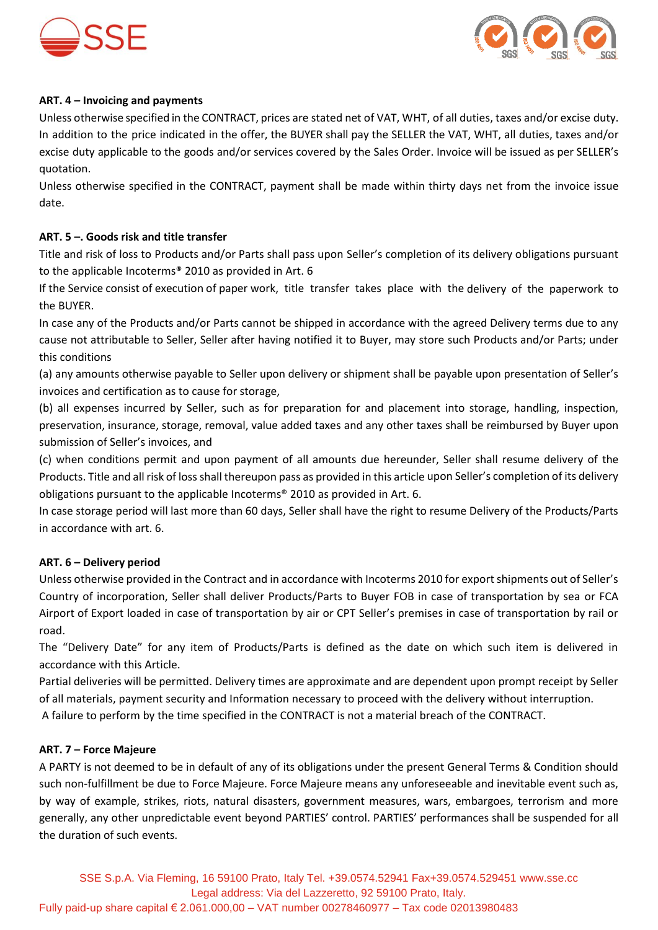



## **ART. 4 – Invoicing and payments**

Unless otherwise specified in the CONTRACT, prices are stated net of VAT, WHT, of all duties, taxes and/or excise duty. In addition to the price indicated in the offer, the BUYER shall pay the SELLER the VAT, WHT, all duties, taxes and/or excise duty applicable to the goods and/or services covered by the Sales Order. Invoice will be issued as per SELLER's quotation.

Unless otherwise specified in the CONTRACT, payment shall be made within thirty days net from the invoice issue date.

## **ART. 5 –. Goods risk and title transfer**

Title and risk of loss to Products and/or Parts shall pass upon Seller's completion of its delivery obligations pursuant to the applicable Incoterms® 2010 as provided in Art. 6

If the Service consist of execution of paper work, title transfer takes place with the delivery of the paperwork to the BUYER.

In case any of the Products and/or Parts cannot be shipped in accordance with the agreed Delivery terms due to any cause not attributable to Seller, Seller after having notified it to Buyer, may store such Products and/or Parts; under this conditions

(a) any amounts otherwise payable to Seller upon delivery or shipment shall be payable upon presentation of Seller's invoices and certification as to cause for storage,

(b) all expenses incurred by Seller, such as for preparation for and placement into storage, handling, inspection, preservation, insurance, storage, removal, value added taxes and any other taxes shall be reimbursed by Buyer upon submission of Seller's invoices, and

(c) when conditions permit and upon payment of all amounts due hereunder, Seller shall resume delivery of the Products. Title and all risk of loss shall thereupon pass as provided in this article upon Seller's completion of its delivery obligations pursuant to the applicable Incoterms® 2010 as provided in Art. 6.

In case storage period will last more than 60 days, Seller shall have the right to resume Delivery of the Products/Parts in accordance with art. 6.

## **ART. 6 – Delivery period**

Unless otherwise provided in the Contract and in accordance with Incoterms 2010 for export shipments out of Seller's Country of incorporation, Seller shall deliver Products/Parts to Buyer FOB in case of transportation by sea or FCA Airport of Export loaded in case of transportation by air or CPT Seller's premises in case of transportation by rail or road.

The "Delivery Date" for any item of Products/Parts is defined as the date on which such item is delivered in accordance with this Article.

Partial deliveries will be permitted. Delivery times are approximate and are dependent upon prompt receipt by Seller of all materials, payment security and Information necessary to proceed with the delivery without interruption. A failure to perform by the time specified in the CONTRACT is not a material breach of the CONTRACT.

## **ART. 7 – Force Majeure**

A PARTY is not deemed to be in default of any of its obligations under the present General Terms & Condition should such non-fulfillment be due to Force Majeure. Force Majeure means any unforeseeable and inevitable event such as, by way of example, strikes, riots, natural disasters, government measures, wars, embargoes, terrorism and more generally, any other unpredictable event beyond PARTIES' control. PARTIES' performances shall be suspended for all the duration of such events.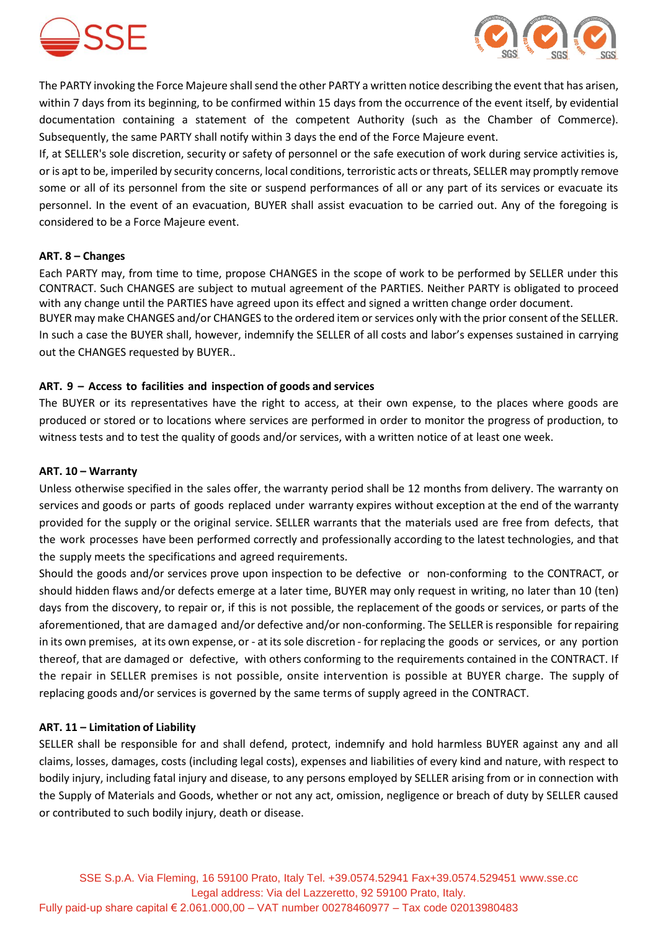



The PARTY invoking the Force Majeure shall send the other PARTY a written notice describing the event that has arisen, within 7 days from its beginning, to be confirmed within 15 days from the occurrence of the event itself, by evidential documentation containing a statement of the competent Authority (such as the Chamber of Commerce). Subsequently, the same PARTY shall notify within 3 days the end of the Force Majeure event.

If, at SELLER's sole discretion, security or safety of personnel or the safe execution of work during service activities is, or is apt to be, imperiled by security concerns, local conditions, terroristic acts or threats, SELLER may promptly remove some or all of its personnel from the site or suspend performances of all or any part of its services or evacuate its personnel. In the event of an evacuation, BUYER shall assist evacuation to be carried out. Any of the foregoing is considered to be a Force Majeure event.

## **ART. 8 – Changes**

Each PARTY may, from time to time, propose CHANGES in the scope of work to be performed by SELLER under this CONTRACT. Such CHANGES are subject to mutual agreement of the PARTIES. Neither PARTY is obligated to proceed with any change until the PARTIES have agreed upon its effect and signed a written change order document. BUYER may make CHANGES and/or CHANGES to the ordered item or services only with the prior consent of the SELLER. In such a case the BUYER shall, however, indemnify the SELLER of all costs and labor's expenses sustained in carrying out the CHANGES requested by BUYER..

## **ART. 9 – Access to facilities and inspection of goods and services**

The BUYER or its representatives have the right to access, at their own expense, to the places where goods are produced or stored or to locations where services are performed in order to monitor the progress of production, to witness tests and to test the quality of goods and/or services, with a written notice of at least one week.

#### **ART. 10 – Warranty**

Unless otherwise specified in the sales offer, the warranty period shall be 12 months from delivery. The warranty on services and goods or parts of goods replaced under warranty expires without exception at the end of the warranty provided for the supply or the original service. SELLER warrants that the materials used are free from defects, that the work processes have been performed correctly and professionally according to the latest technologies, and that the supply meets the specifications and agreed requirements.

Should the goods and/or services prove upon inspection to be defective or non-conforming to the CONTRACT, or should hidden flaws and/or defects emerge at a later time, BUYER may only request in writing, no later than 10 (ten) days from the discovery, to repair or, if this is not possible, the replacement of the goods or services, or parts of the aforementioned, that are damaged and/or defective and/or non-conforming. The SELLER is responsible for repairing in its own premises, at its own expense, or - at its sole discretion - for replacing the goods or services, or any portion thereof, that are damaged or defective, with others conforming to the requirements contained in the CONTRACT. If the repair in SELLER premises is not possible, onsite intervention is possible at BUYER charge. The supply of replacing goods and/or services is governed by the same terms of supply agreed in the CONTRACT.

## **ART. 11 – Limitation of Liability**

SELLER shall be responsible for and shall defend, protect, indemnify and hold harmless BUYER against any and all claims, losses, damages, costs (including legal costs), expenses and liabilities of every kind and nature, with respect to bodily injury, including fatal injury and disease, to any persons employed by SELLER arising from or in connection with the Supply of Materials and Goods, whether or not any act, omission, negligence or breach of duty by SELLER caused or contributed to such bodily injury, death or disease.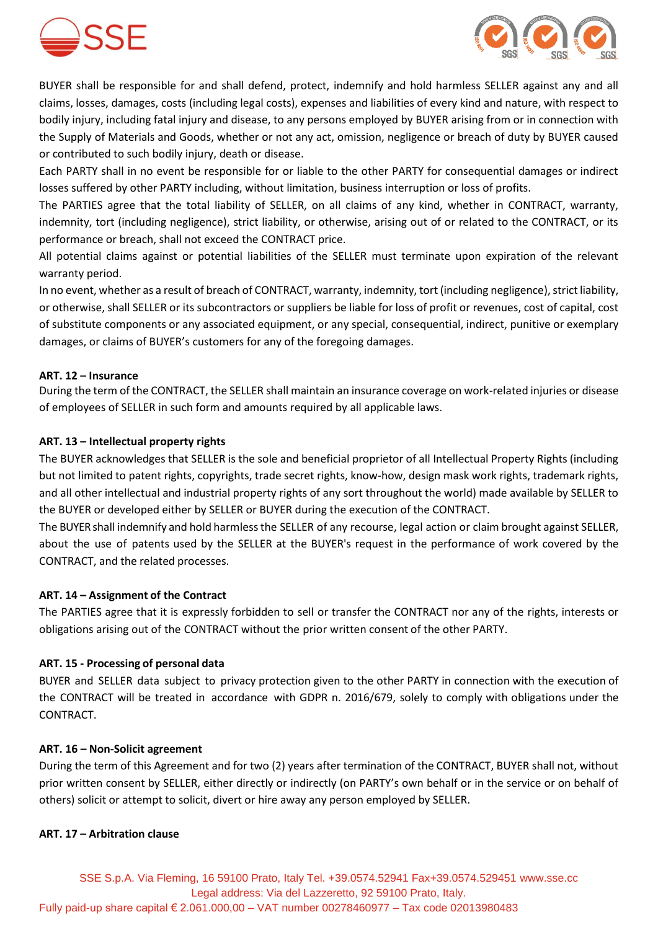



BUYER shall be responsible for and shall defend, protect, indemnify and hold harmless SELLER against any and all claims, losses, damages, costs (including legal costs), expenses and liabilities of every kind and nature, with respect to bodily injury, including fatal injury and disease, to any persons employed by BUYER arising from or in connection with the Supply of Materials and Goods, whether or not any act, omission, negligence or breach of duty by BUYER caused or contributed to such bodily injury, death or disease.

Each PARTY shall in no event be responsible for or liable to the other PARTY for consequential damages or indirect losses suffered by other PARTY including, without limitation, business interruption or loss of profits.

The PARTIES agree that the total liability of SELLER, on all claims of any kind, whether in CONTRACT, warranty, indemnity, tort (including negligence), strict liability, or otherwise, arising out of or related to the CONTRACT, or its performance or breach, shall not exceed the CONTRACT price.

All potential claims against or potential liabilities of the SELLER must terminate upon expiration of the relevant warranty period.

In no event, whether as a result of breach of CONTRACT, warranty, indemnity, tort (including negligence), strict liability, or otherwise, shall SELLER or its subcontractors or suppliers be liable for loss of profit or revenues, cost of capital, cost of substitute components or any associated equipment, or any special, consequential, indirect, punitive or exemplary damages, or claims of BUYER's customers for any of the foregoing damages.

# **ART. 12 – Insurance**

During the term of the CONTRACT, the SELLER shall maintain an insurance coverage on work-related injuries or disease of employees of SELLER in such form and amounts required by all applicable laws.

# **ART. 13 – Intellectual property rights**

The BUYER acknowledges that SELLER is the sole and beneficial proprietor of all Intellectual Property Rights (including but not limited to patent rights, copyrights, trade secret rights, know-how, design mask work rights, trademark rights, and all other intellectual and industrial property rights of any sort throughout the world) made available by SELLER to the BUYER or developed either by SELLER or BUYER during the execution of the CONTRACT.

The BUYERshall indemnify and hold harmless the SELLER of any recourse, legal action or claim brought against SELLER, about the use of patents used by the SELLER at the BUYER's request in the performance of work covered by the CONTRACT, and the related processes.

## **ART. 14 – Assignment of the Contract**

The PARTIES agree that it is expressly forbidden to sell or transfer the CONTRACT nor any of the rights, interests or obligations arising out of the CONTRACT without the prior written consent of the other PARTY.

## **ART. 15 - Processing of personal data**

BUYER and SELLER data subject to privacy protection given to the other PARTY in connection with the execution of the CONTRACT will be treated in accordance with GDPR n. 2016/679, solely to comply with obligations under the CONTRACT.

## **ART. 16 – Non-Solicit agreement**

During the term of this Agreement and for two (2) years after termination of the CONTRACT, BUYER shall not, without prior written consent by SELLER, either directly or indirectly (on PARTY's own behalf or in the service or on behalf of others) solicit or attempt to solicit, divert or hire away any person employed by SELLER.

## **ART. 17 – Arbitration clause**